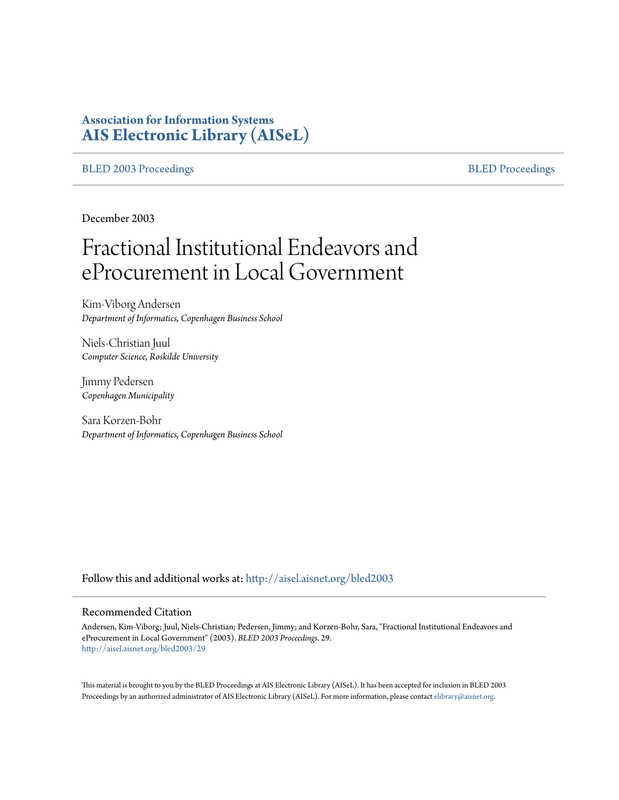# **Association for Information Systems [AIS Electronic Library \(AISeL\)](http://aisel.aisnet.org?utm_source=aisel.aisnet.org%2Fbled2003%2F29&utm_medium=PDF&utm_campaign=PDFCoverPages)**

[BLED 2003 Proceedings](http://aisel.aisnet.org/bled2003?utm_source=aisel.aisnet.org%2Fbled2003%2F29&utm_medium=PDF&utm_campaign=PDFCoverPages) and the state of the state of the [BLED Proceedings](http://aisel.aisnet.org/bled?utm_source=aisel.aisnet.org%2Fbled2003%2F29&utm_medium=PDF&utm_campaign=PDFCoverPages) and the BLED Proceedings and the BLED Proceedings and the BLED Proceedings and the BLED Proceedings and the BLED Proceedings and the BLED Proceedings

December 2003

# Fractional Institutional Endeavors and eProcurement in Local Government

Kim-Viborg Andersen *Department of Informatics, Copenhagen Business School*

Niels-Christian Juul *Computer Science, Roskilde University*

Jimmy Pedersen *Copenhagen Municipality*

Sara Korzen-Bohr *Department of Informatics, Copenhagen Business School*

Follow this and additional works at: [http://aisel.aisnet.org/bled2003](http://aisel.aisnet.org/bled2003?utm_source=aisel.aisnet.org%2Fbled2003%2F29&utm_medium=PDF&utm_campaign=PDFCoverPages)

#### Recommended Citation

Andersen, Kim-Viborg; Juul, Niels-Christian; Pedersen, Jimmy; and Korzen-Bohr, Sara, "Fractional Institutional Endeavors and eProcurement in Local Government" (2003). *BLED 2003 Proceedings*. 29. [http://aisel.aisnet.org/bled2003/29](http://aisel.aisnet.org/bled2003/29?utm_source=aisel.aisnet.org%2Fbled2003%2F29&utm_medium=PDF&utm_campaign=PDFCoverPages)

This material is brought to you by the BLED Proceedings at AIS Electronic Library (AISeL). It has been accepted for inclusion in BLED 2003 Proceedings by an authorized administrator of AIS Electronic Library (AISeL). For more information, please contact [elibrary@aisnet.org](mailto:elibrary@aisnet.org%3E).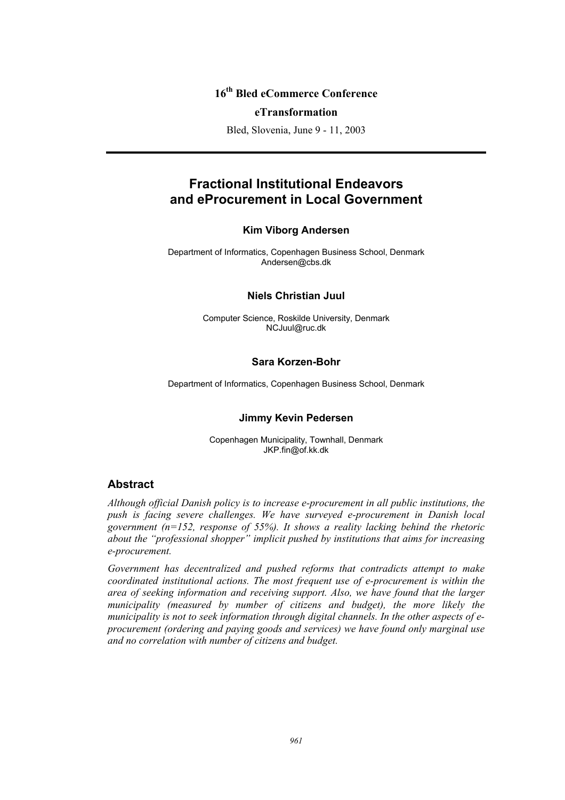## **16th Bled eCommerce Conference**

#### **eTransformation**

Bled, Slovenia, June 9 - 11, 2003

# **Fractional Institutional Endeavors and eProcurement in Local Government**

#### **Kim Viborg Andersen**

Department of Informatics, Copenhagen Business School, Denmark Andersen@cbs.dk

#### **Niels Christian Juul**

Computer Science, Roskilde University, Denmark NCJuul@ruc.dk

#### **Sara Korzen-Bohr**

Department of Informatics, Copenhagen Business School, Denmark

#### **Jimmy Kevin Pedersen**

Copenhagen Municipality, Townhall, Denmark JKP.fin@of.kk.dk

## **Abstract**

*Although official Danish policy is to increase e-procurement in all public institutions, the push is facing severe challenges. We have surveyed e-procurement in Danish local government (n=152, response of 55%). It shows a reality lacking behind the rhetoric about the "professional shopper" implicit pushed by institutions that aims for increasing e-procurement.* 

*Government has decentralized and pushed reforms that contradicts attempt to make coordinated institutional actions. The most frequent use of e-procurement is within the area of seeking information and receiving support. Also, we have found that the larger municipality (measured by number of citizens and budget), the more likely the municipality is not to seek information through digital channels. In the other aspects of eprocurement (ordering and paying goods and services) we have found only marginal use and no correlation with number of citizens and budget.*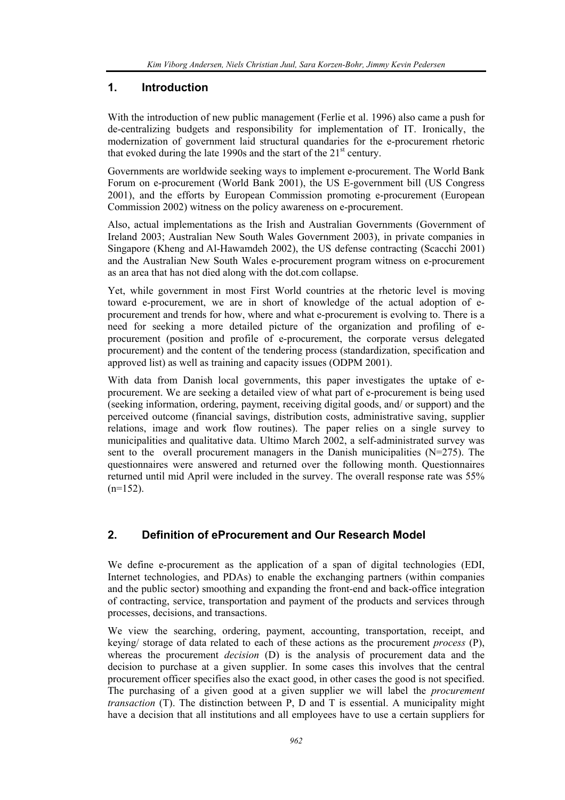## **1. Introduction**

With the introduction of new public management (Ferlie et al. 1996) also came a push for de-centralizing budgets and responsibility for implementation of IT. Ironically, the modernization of government laid structural quandaries for the e-procurement rhetoric that evoked during the late 1990s and the start of the  $21<sup>st</sup>$  century.

Governments are worldwide seeking ways to implement e-procurement. The World Bank Forum on e-procurement (World Bank 2001), the US E-government bill (US Congress 2001), and the efforts by European Commission promoting e-procurement (European Commission 2002) witness on the policy awareness on e-procurement.

Also, actual implementations as the Irish and Australian Governments (Government of Ireland 2003; Australian New South Wales Government 2003), in private companies in Singapore (Kheng and Al-Hawamdeh 2002), the US defense contracting (Scacchi 2001) and the Australian New South Wales e-procurement program witness on e-procurement as an area that has not died along with the dot.com collapse.

Yet, while government in most First World countries at the rhetoric level is moving toward e-procurement, we are in short of knowledge of the actual adoption of eprocurement and trends for how, where and what e-procurement is evolving to. There is a need for seeking a more detailed picture of the organization and profiling of eprocurement (position and profile of e-procurement, the corporate versus delegated procurement) and the content of the tendering process (standardization, specification and approved list) as well as training and capacity issues (ODPM 2001).

With data from Danish local governments, this paper investigates the uptake of eprocurement. We are seeking a detailed view of what part of e-procurement is being used (seeking information, ordering, payment, receiving digital goods, and/ or support) and the perceived outcome (financial savings, distribution costs, administrative saving, supplier relations, image and work flow routines). The paper relies on a single survey to municipalities and qualitative data. Ultimo March 2002, a self-administrated survey was sent to the overall procurement managers in the Danish municipalities  $(N=275)$ . The questionnaires were answered and returned over the following month. Questionnaires returned until mid April were included in the survey. The overall response rate was 55%  $(n=152)$ .

## **2. Definition of eProcurement and Our Research Model**

We define e-procurement as the application of a span of digital technologies (EDI, Internet technologies, and PDAs) to enable the exchanging partners (within companies and the public sector) smoothing and expanding the front-end and back-office integration of contracting, service, transportation and payment of the products and services through processes, decisions, and transactions.

We view the searching, ordering, payment, accounting, transportation, receipt, and keying/ storage of data related to each of these actions as the procurement *process* (P), whereas the procurement *decision* (D) is the analysis of procurement data and the decision to purchase at a given supplier. In some cases this involves that the central procurement officer specifies also the exact good, in other cases the good is not specified. The purchasing of a given good at a given supplier we will label the *procurement transaction* (T). The distinction between P, D and T is essential. A municipality might have a decision that all institutions and all employees have to use a certain suppliers for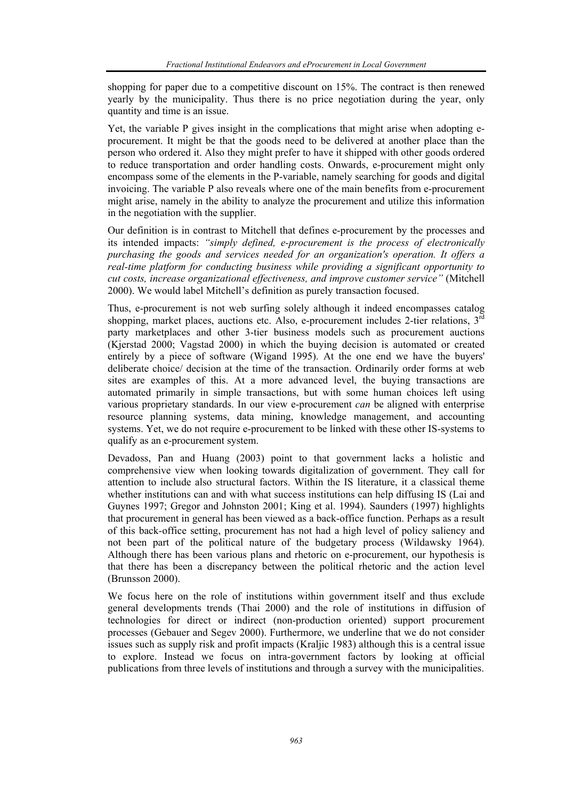shopping for paper due to a competitive discount on 15%. The contract is then renewed yearly by the municipality. Thus there is no price negotiation during the year, only quantity and time is an issue.

Yet, the variable P gives insight in the complications that might arise when adopting eprocurement. It might be that the goods need to be delivered at another place than the person who ordered it. Also they might prefer to have it shipped with other goods ordered to reduce transportation and order handling costs. Onwards, e-procurement might only encompass some of the elements in the P-variable, namely searching for goods and digital invoicing. The variable P also reveals where one of the main benefits from e-procurement might arise, namely in the ability to analyze the procurement and utilize this information in the negotiation with the supplier.

Our definition is in contrast to Mitchell that defines e-procurement by the processes and its intended impacts: *"simply defined, e-procurement is the process of electronically purchasing the goods and services needed for an organization's operation. It offers a real-time platform for conducting business while providing a significant opportunity to cut costs, increase organizational effectiveness, and improve customer service"* (Mitchell 2000). We would label Mitchell's definition as purely transaction focused.

Thus, e-procurement is not web surfing solely although it indeed encompasses catalog shopping, market places, auctions etc. Also, e-procurement includes 2-tier relations.  $3^{\overline{rd}}$ party marketplaces and other 3-tier business models such as procurement auctions (Kjerstad 2000; Vagstad 2000) in which the buying decision is automated or created entirely by a piece of software (Wigand 1995). At the one end we have the buyers' deliberate choice/ decision at the time of the transaction. Ordinarily order forms at web sites are examples of this. At a more advanced level, the buying transactions are automated primarily in simple transactions, but with some human choices left using various proprietary standards. In our view e-procurement *can* be aligned with enterprise resource planning systems, data mining, knowledge management, and accounting systems. Yet, we do not require e-procurement to be linked with these other IS-systems to qualify as an e-procurement system.

Devadoss, Pan and Huang (2003) point to that government lacks a holistic and comprehensive view when looking towards digitalization of government. They call for attention to include also structural factors. Within the IS literature, it a classical theme whether institutions can and with what success institutions can help diffusing IS (Lai and Guynes 1997; Gregor and Johnston 2001; King et al. 1994). Saunders (1997) highlights that procurement in general has been viewed as a back-office function. Perhaps as a result of this back-office setting, procurement has not had a high level of policy saliency and not been part of the political nature of the budgetary process (Wildawsky 1964). Although there has been various plans and rhetoric on e-procurement, our hypothesis is that there has been a discrepancy between the political rhetoric and the action level (Brunsson 2000).

We focus here on the role of institutions within government itself and thus exclude general developments trends (Thai 2000) and the role of institutions in diffusion of technologies for direct or indirect (non-production oriented) support procurement processes (Gebauer and Segev 2000). Furthermore, we underline that we do not consider issues such as supply risk and profit impacts (Kraljic 1983) although this is a central issue to explore. Instead we focus on intra-government factors by looking at official publications from three levels of institutions and through a survey with the municipalities.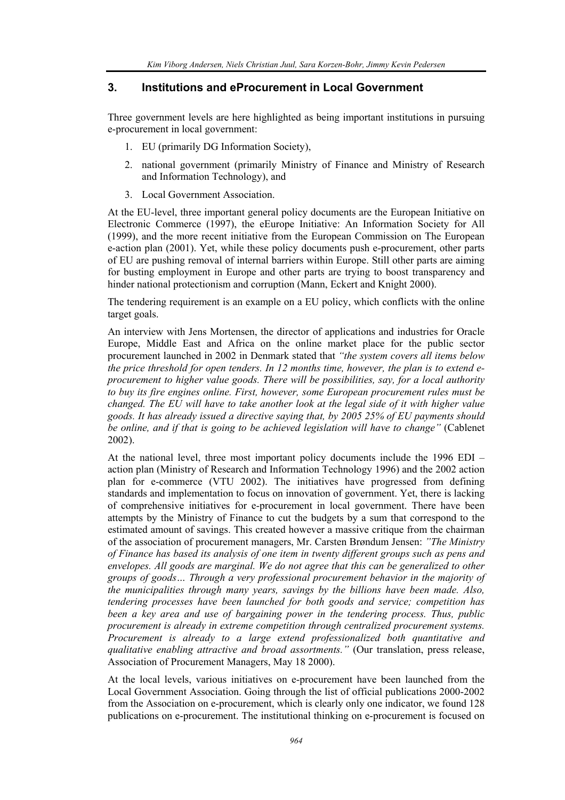#### **3. Institutions and eProcurement in Local Government**

Three government levels are here highlighted as being important institutions in pursuing e-procurement in local government:

- 1. EU (primarily DG Information Society),
- 2. national government (primarily Ministry of Finance and Ministry of Research and Information Technology), and
- 3. Local Government Association.

At the EU-level, three important general policy documents are the European Initiative on Electronic Commerce (1997), the eEurope Initiative: An Information Society for All (1999), and the more recent initiative from the European Commission on The European e-action plan (2001). Yet, while these policy documents push e-procurement, other parts of EU are pushing removal of internal barriers within Europe. Still other parts are aiming for busting employment in Europe and other parts are trying to boost transparency and hinder national protectionism and corruption (Mann, Eckert and Knight 2000).

The tendering requirement is an example on a EU policy, which conflicts with the online target goals.

An interview with Jens Mortensen, the director of applications and industries for Oracle Europe, Middle East and Africa on the online market place for the public sector procurement launched in 2002 in Denmark stated that *"the system covers all items below the price threshold for open tenders. In 12 months time, however, the plan is to extend eprocurement to higher value goods. There will be possibilities, say, for a local authority to buy its fire engines online. First, however, some European procurement rules must be changed. The EU will have to take another look at the legal side of it with higher value goods. It has already issued a directive saying that, by 2005 25% of EU payments should be online, and if that is going to be achieved legislation will have to change"* (Cablenet 2002).

At the national level, three most important policy documents include the 1996 EDI – action plan (Ministry of Research and Information Technology 1996) and the 2002 action plan for e-commerce (VTU 2002). The initiatives have progressed from defining standards and implementation to focus on innovation of government. Yet, there is lacking of comprehensive initiatives for e-procurement in local government. There have been attempts by the Ministry of Finance to cut the budgets by a sum that correspond to the estimated amount of savings. This created however a massive critique from the chairman of the association of procurement managers, Mr. Carsten Brøndum Jensen: *"The Ministry of Finance has based its analysis of one item in twenty different groups such as pens and envelopes. All goods are marginal. We do not agree that this can be generalized to other groups of goods… Through a very professional procurement behavior in the majority of the municipalities through many years, savings by the billions have been made. Also, tendering processes have been launched for both goods and service; competition has been a key area and use of bargaining power in the tendering process. Thus, public procurement is already in extreme competition through centralized procurement systems. Procurement is already to a large extend professionalized both quantitative and qualitative enabling attractive and broad assortments."* (Our translation, press release, Association of Procurement Managers, May 18 2000).

At the local levels, various initiatives on e-procurement have been launched from the Local Government Association. Going through the list of official publications 2000-2002 from the Association on e-procurement, which is clearly only one indicator, we found 128 publications on e-procurement. The institutional thinking on e-procurement is focused on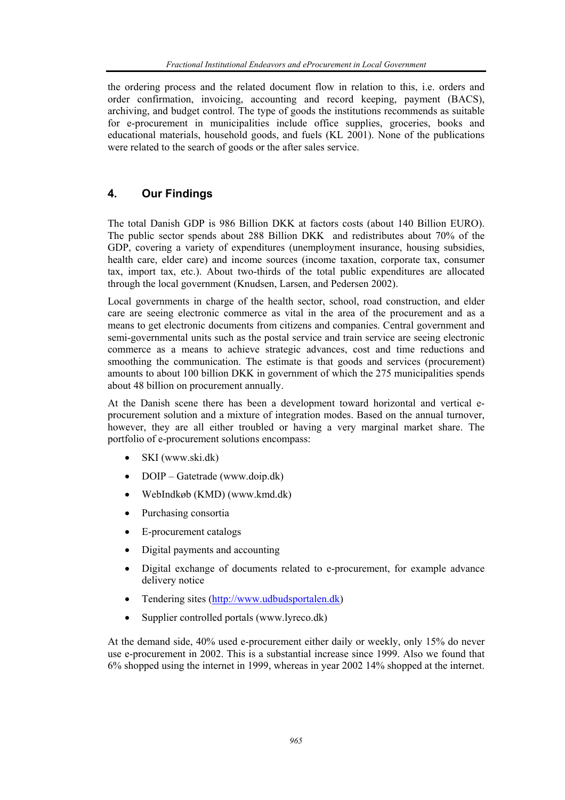the ordering process and the related document flow in relation to this, i.e. orders and order confirmation, invoicing, accounting and record keeping, payment (BACS), archiving, and budget control. The type of goods the institutions recommends as suitable for e-procurement in municipalities include office supplies, groceries, books and educational materials, household goods, and fuels (KL 2001). None of the publications were related to the search of goods or the after sales service.

## **4. Our Findings**

The total Danish GDP is 986 Billion DKK at factors costs (about 140 Billion EURO). The public sector spends about 288 Billion DKK and redistributes about 70% of the GDP, covering a variety of expenditures (unemployment insurance, housing subsidies, health care, elder care) and income sources (income taxation, corporate tax, consumer tax, import tax, etc.). About two-thirds of the total public expenditures are allocated through the local government (Knudsen, Larsen, and Pedersen 2002).

Local governments in charge of the health sector, school, road construction, and elder care are seeing electronic commerce as vital in the area of the procurement and as a means to get electronic documents from citizens and companies. Central government and semi-governmental units such as the postal service and train service are seeing electronic commerce as a means to achieve strategic advances, cost and time reductions and smoothing the communication. The estimate is that goods and services (procurement) amounts to about 100 billion DKK in government of which the 275 municipalities spends about 48 billion on procurement annually.

At the Danish scene there has been a development toward horizontal and vertical eprocurement solution and a mixture of integration modes. Based on the annual turnover, however, they are all either troubled or having a very marginal market share. The portfolio of e-procurement solutions encompass:

- SKI (www.ski.dk)
- DOIP Gatetrade (www.doip.dk)
- WebIndkøb (KMD) (www.kmd.dk)
- Purchasing consortia
- E-procurement catalogs
- Digital payments and accounting
- Digital exchange of documents related to e-procurement, for example advance delivery notice
- Tendering sites (http://www.udbudsportalen.dk)
- Supplier controlled portals (www.lyreco.dk)

At the demand side, 40% used e-procurement either daily or weekly, only 15% do never use e-procurement in 2002. This is a substantial increase since 1999. Also we found that 6% shopped using the internet in 1999, whereas in year 2002 14% shopped at the internet.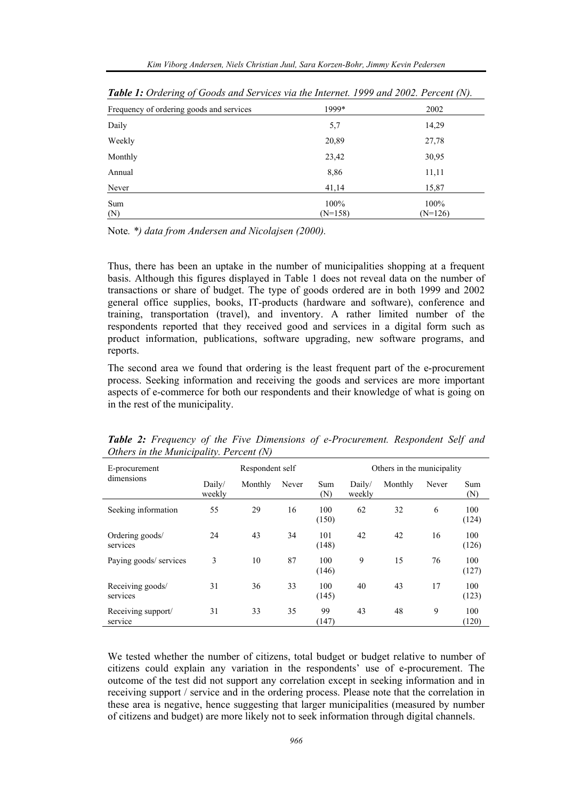| $\cdots$                                 |           |           |
|------------------------------------------|-----------|-----------|
| Frequency of ordering goods and services | 1999*     | 2002      |
| Daily                                    | 5,7       | 14,29     |
| Weekly                                   | 20,89     | 27,78     |
| Monthly                                  | 23,42     | 30,95     |
| Annual                                   | 8,86      | 11,11     |
| Never                                    | 41,14     | 15,87     |
| Sum                                      | 100%      | 100%      |
| (N)                                      | $(N=158)$ | $(N=126)$ |

*Table 1: Ordering of Goods and Services via the Internet. 1999 and 2002. Percent (N).* 

Note*. \*) data from Andersen and Nicolajsen (2000).*

Thus, there has been an uptake in the number of municipalities shopping at a frequent basis. Although this figures displayed in Table 1 does not reveal data on the number of transactions or share of budget. The type of goods ordered are in both 1999 and 2002 general office supplies, books, IT-products (hardware and software), conference and training, transportation (travel), and inventory. A rather limited number of the respondents reported that they received good and services in a digital form such as product information, publications, software upgrading, new software programs, and reports.

The second area we found that ordering is the least frequent part of the e-procurement process. Seeking information and receiving the goods and services are more important aspects of e-commerce for both our respondents and their knowledge of what is going on in the rest of the municipality.

| E-procurement<br>dimensions   | Respondent self  |         |       | Others in the municipality |                  |         |       |              |
|-------------------------------|------------------|---------|-------|----------------------------|------------------|---------|-------|--------------|
|                               | Daily/<br>weekly | Monthly | Never | Sum<br>(N)                 | Daily/<br>weekly | Monthly | Never | Sum<br>(N)   |
| Seeking information           | 55               | 29      | 16    | 100<br>(150)               | 62               | 32      | 6     | 100<br>(124) |
| Ordering goods/<br>services   | 24               | 43      | 34    | 101<br>(148)               | 42               | 42      | 16    | 100<br>(126) |
| Paying goods/ services        | 3                | 10      | 87    | 100<br>(146)               | 9                | 15      | 76    | 100<br>(127) |
| Receiving goods/<br>services  | 31               | 36      | 33    | 100<br>(145)               | 40               | 43      | 17    | 100<br>(123) |
| Receiving support/<br>service | 31               | 33      | 35    | 99<br>(147)                | 43               | 48      | 9     | 100<br>(120) |

*Table 2: Frequency of the Five Dimensions of e-Procurement. Respondent Self and Others in the Municipality. Percent (N)* 

We tested whether the number of citizens, total budget or budget relative to number of citizens could explain any variation in the respondents' use of e-procurement. The outcome of the test did not support any correlation except in seeking information and in receiving support / service and in the ordering process. Please note that the correlation in these area is negative, hence suggesting that larger municipalities (measured by number of citizens and budget) are more likely not to seek information through digital channels.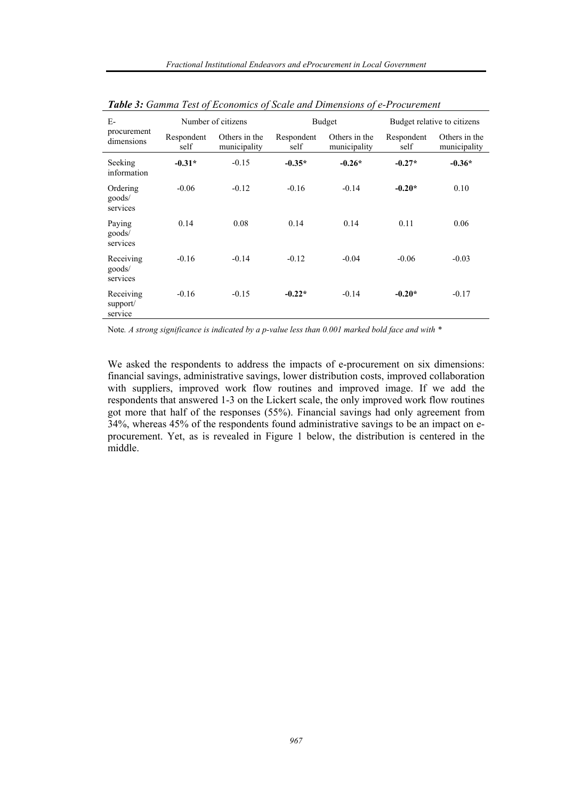| $E-$<br>procurement<br>dimensions | Number of citizens |                               | <b>Budget</b>      |                               | Budget relative to citizens |                               |
|-----------------------------------|--------------------|-------------------------------|--------------------|-------------------------------|-----------------------------|-------------------------------|
|                                   | Respondent<br>self | Others in the<br>municipality | Respondent<br>self | Others in the<br>municipality | Respondent<br>self          | Others in the<br>municipality |
| Seeking<br>information            | $-0.31*$           | $-0.15$                       | $-0.35*$           | $-0.26*$                      | $-0.27*$                    | $-0.36*$                      |
| Ordering<br>goods/<br>services    | $-0.06$            | $-0.12$                       | $-0.16$            | $-0.14$                       | $-0.20*$                    | 0.10                          |
| Paying<br>goods/<br>services      | 0.14               | 0.08                          | 0.14               | 0.14                          | 0.11                        | 0.06                          |
| Receiving<br>goods/<br>services   | $-0.16$            | $-0.14$                       | $-0.12$            | $-0.04$                       | $-0.06$                     | $-0.03$                       |
| Receiving<br>support/<br>service  | $-0.16$            | $-0.15$                       | $-0.22*$           | $-0.14$                       | $-0.20*$                    | $-0.17$                       |

*Table 3: Gamma Test of Economics of Scale and Dimensions of e-Procurement* 

Note*. A strong significance is indicated by a p-value less than 0.001 marked bold face and with \** 

We asked the respondents to address the impacts of e-procurement on six dimensions: financial savings, administrative savings, lower distribution costs, improved collaboration with suppliers, improved work flow routines and improved image. If we add the respondents that answered 1-3 on the Lickert scale, the only improved work flow routines got more that half of the responses (55%). Financial savings had only agreement from 34%, whereas 45% of the respondents found administrative savings to be an impact on eprocurement. Yet, as is revealed in Figure 1 below, the distribution is centered in the middle.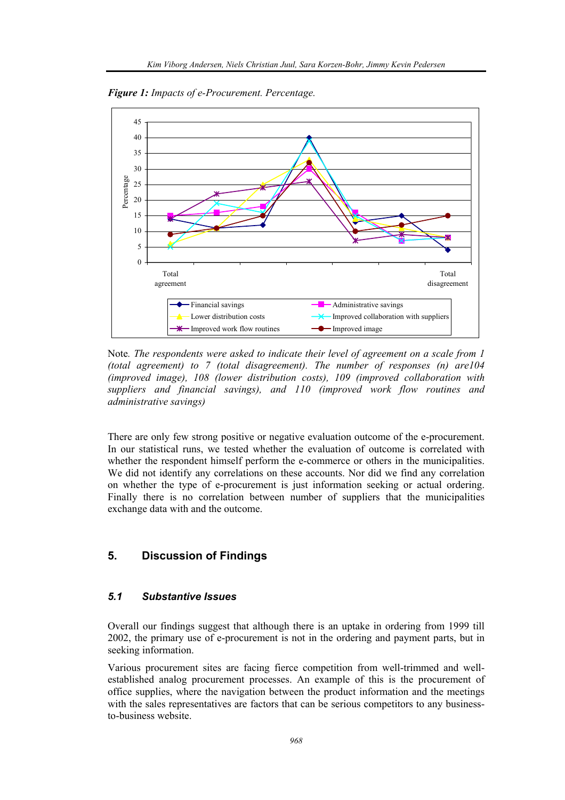*Figure 1: Impacts of e-Procurement. Percentage.* 



Note*. The respondents were asked to indicate their level of agreement on a scale from 1 (total agreement) to 7 (total disagreement). The number of responses (n) are104 (improved image), 108 (lower distribution costs), 109 (improved collaboration with suppliers and financial savings), and 110 (improved work flow routines and administrative savings)* 

There are only few strong positive or negative evaluation outcome of the e-procurement. In our statistical runs, we tested whether the evaluation of outcome is correlated with whether the respondent himself perform the e-commerce or others in the municipalities. We did not identify any correlations on these accounts. Nor did we find any correlation on whether the type of e-procurement is just information seeking or actual ordering. Finally there is no correlation between number of suppliers that the municipalities exchange data with and the outcome.

## **5. Discussion of Findings**

## *5.1 Substantive Issues*

Overall our findings suggest that although there is an uptake in ordering from 1999 till 2002, the primary use of e-procurement is not in the ordering and payment parts, but in seeking information.

Various procurement sites are facing fierce competition from well-trimmed and wellestablished analog procurement processes. An example of this is the procurement of office supplies, where the navigation between the product information and the meetings with the sales representatives are factors that can be serious competitors to any businessto-business website.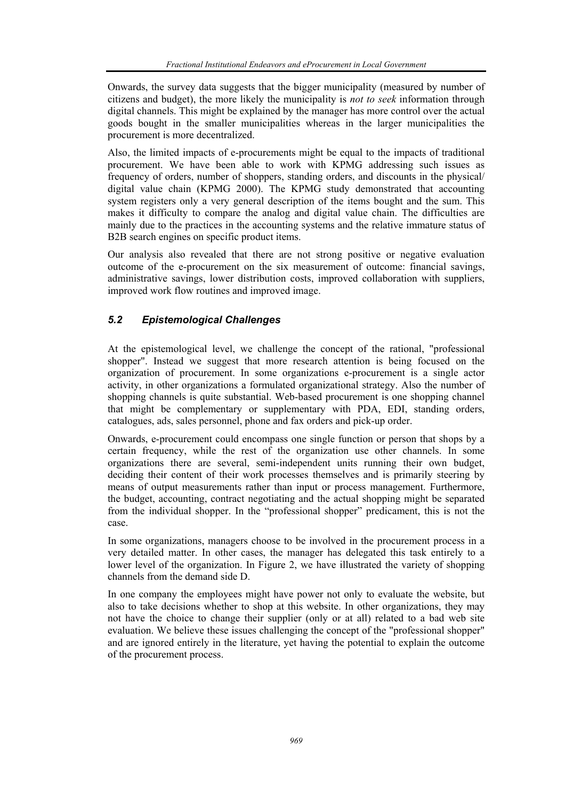Onwards, the survey data suggests that the bigger municipality (measured by number of citizens and budget), the more likely the municipality is *not to seek* information through digital channels. This might be explained by the manager has more control over the actual goods bought in the smaller municipalities whereas in the larger municipalities the procurement is more decentralized.

Also, the limited impacts of e-procurements might be equal to the impacts of traditional procurement. We have been able to work with KPMG addressing such issues as frequency of orders, number of shoppers, standing orders, and discounts in the physical/ digital value chain (KPMG 2000). The KPMG study demonstrated that accounting system registers only a very general description of the items bought and the sum. This makes it difficulty to compare the analog and digital value chain. The difficulties are mainly due to the practices in the accounting systems and the relative immature status of B2B search engines on specific product items.

Our analysis also revealed that there are not strong positive or negative evaluation outcome of the e-procurement on the six measurement of outcome: financial savings, administrative savings, lower distribution costs, improved collaboration with suppliers, improved work flow routines and improved image.

## *5.2 Epistemological Challenges*

At the epistemological level, we challenge the concept of the rational, "professional shopper". Instead we suggest that more research attention is being focused on the organization of procurement. In some organizations e-procurement is a single actor activity, in other organizations a formulated organizational strategy. Also the number of shopping channels is quite substantial. Web-based procurement is one shopping channel that might be complementary or supplementary with PDA, EDI, standing orders, catalogues, ads, sales personnel, phone and fax orders and pick-up order.

Onwards, e-procurement could encompass one single function or person that shops by a certain frequency, while the rest of the organization use other channels. In some organizations there are several, semi-independent units running their own budget, deciding their content of their work processes themselves and is primarily steering by means of output measurements rather than input or process management. Furthermore, the budget, accounting, contract negotiating and the actual shopping might be separated from the individual shopper. In the "professional shopper" predicament, this is not the case.

In some organizations, managers choose to be involved in the procurement process in a very detailed matter. In other cases, the manager has delegated this task entirely to a lower level of the organization. In Figure 2, we have illustrated the variety of shopping channels from the demand side D.

In one company the employees might have power not only to evaluate the website, but also to take decisions whether to shop at this website. In other organizations, they may not have the choice to change their supplier (only or at all) related to a bad web site evaluation. We believe these issues challenging the concept of the "professional shopper" and are ignored entirely in the literature, yet having the potential to explain the outcome of the procurement process.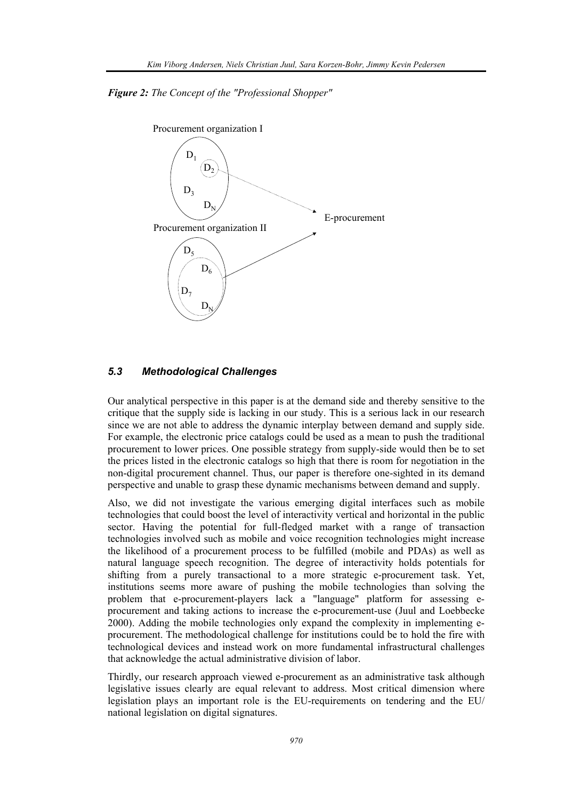*Figure 2: The Concept of the "Professional Shopper"* 



#### *5.3 Methodological Challenges*

Our analytical perspective in this paper is at the demand side and thereby sensitive to the critique that the supply side is lacking in our study. This is a serious lack in our research since we are not able to address the dynamic interplay between demand and supply side. For example, the electronic price catalogs could be used as a mean to push the traditional procurement to lower prices. One possible strategy from supply-side would then be to set the prices listed in the electronic catalogs so high that there is room for negotiation in the non-digital procurement channel. Thus, our paper is therefore one-sighted in its demand perspective and unable to grasp these dynamic mechanisms between demand and supply.

Also, we did not investigate the various emerging digital interfaces such as mobile technologies that could boost the level of interactivity vertical and horizontal in the public sector. Having the potential for full-fledged market with a range of transaction technologies involved such as mobile and voice recognition technologies might increase the likelihood of a procurement process to be fulfilled (mobile and PDAs) as well as natural language speech recognition. The degree of interactivity holds potentials for shifting from a purely transactional to a more strategic e-procurement task. Yet, institutions seems more aware of pushing the mobile technologies than solving the problem that e-procurement-players lack a "language" platform for assessing eprocurement and taking actions to increase the e-procurement-use (Juul and Loebbecke 2000). Adding the mobile technologies only expand the complexity in implementing eprocurement. The methodological challenge for institutions could be to hold the fire with technological devices and instead work on more fundamental infrastructural challenges that acknowledge the actual administrative division of labor.

Thirdly, our research approach viewed e-procurement as an administrative task although legislative issues clearly are equal relevant to address. Most critical dimension where legislation plays an important role is the EU-requirements on tendering and the EU/ national legislation on digital signatures.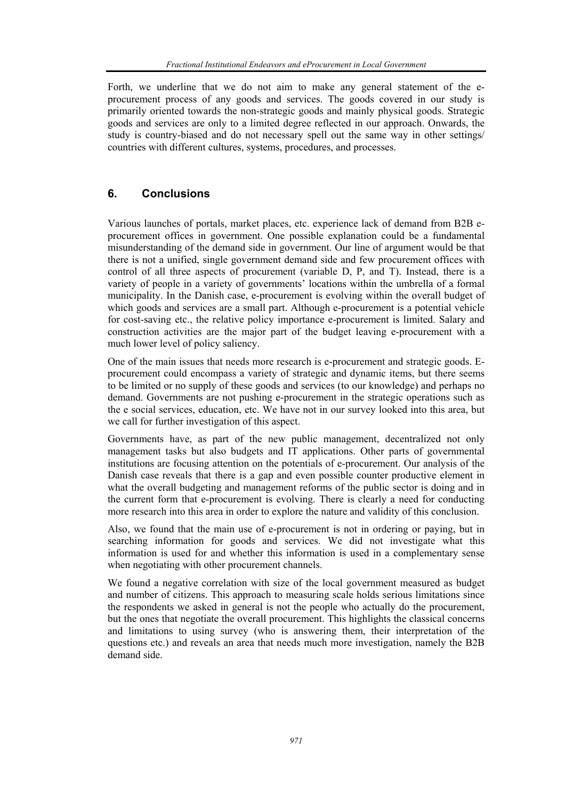Forth, we underline that we do not aim to make any general statement of the eprocurement process of any goods and services. The goods covered in our study is primarily oriented towards the non-strategic goods and mainly physical goods. Strategic goods and services are only to a limited degree reflected in our approach. Onwards, the study is country-biased and do not necessary spell out the same way in other settings/ countries with different cultures, systems, procedures, and processes.

## **6. Conclusions**

Various launches of portals, market places, etc. experience lack of demand from B2B eprocurement offices in government. One possible explanation could be a fundamental misunderstanding of the demand side in government. Our line of argument would be that there is not a unified, single government demand side and few procurement offices with control of all three aspects of procurement (variable D, P, and T). Instead, there is a variety of people in a variety of governments' locations within the umbrella of a formal municipality. In the Danish case, e-procurement is evolving within the overall budget of which goods and services are a small part. Although e-procurement is a potential vehicle for cost-saving etc., the relative policy importance e-procurement is limited. Salary and construction activities are the major part of the budget leaving e-procurement with a much lower level of policy saliency.

One of the main issues that needs more research is e-procurement and strategic goods. Eprocurement could encompass a variety of strategic and dynamic items, but there seems to be limited or no supply of these goods and services (to our knowledge) and perhaps no demand. Governments are not pushing e-procurement in the strategic operations such as the e social services, education, etc. We have not in our survey looked into this area, but we call for further investigation of this aspect.

Governments have, as part of the new public management, decentralized not only management tasks but also budgets and IT applications. Other parts of governmental institutions are focusing attention on the potentials of e-procurement. Our analysis of the Danish case reveals that there is a gap and even possible counter productive element in what the overall budgeting and management reforms of the public sector is doing and in the current form that e-procurement is evolving. There is clearly a need for conducting more research into this area in order to explore the nature and validity of this conclusion.

Also, we found that the main use of e-procurement is not in ordering or paying, but in searching information for goods and services. We did not investigate what this information is used for and whether this information is used in a complementary sense when negotiating with other procurement channels.

We found a negative correlation with size of the local government measured as budget and number of citizens. This approach to measuring scale holds serious limitations since the respondents we asked in general is not the people who actually do the procurement, but the ones that negotiate the overall procurement. This highlights the classical concerns and limitations to using survey (who is answering them, their interpretation of the questions etc.) and reveals an area that needs much more investigation, namely the B2B demand side.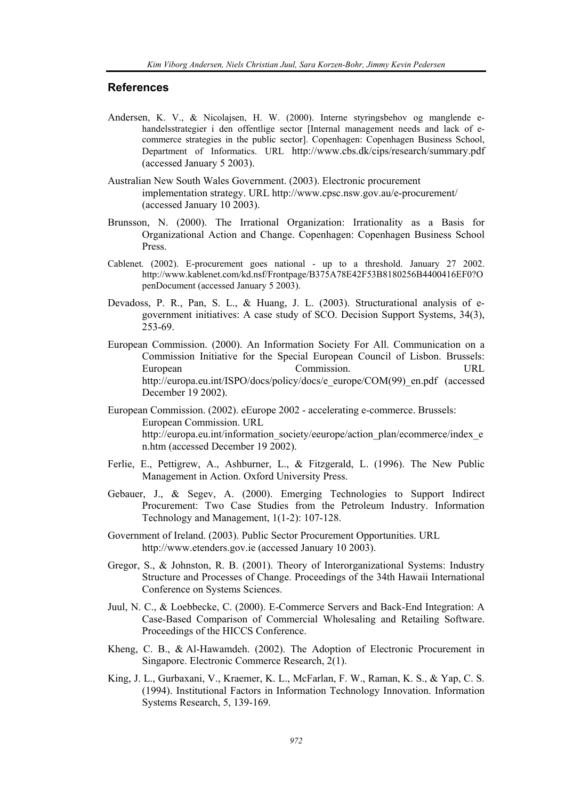## **References**

- Andersen, K. V., & Nicolajsen, H. W. (2000). Interne styringsbehov og manglende ehandelsstrategier i den offentlige sector [Internal management needs and lack of ecommerce strategies in the public sector]. Copenhagen: Copenhagen Business School, Department of Informatics. URL http://www.cbs.dk/cips/research/summary.pdf (accessed January 5 2003).
- Australian New South Wales Government. (2003). Electronic procurement implementation strategy. URL http://www.cpsc.nsw.gov.au/e-procurement/ (accessed January 10 2003).
- Brunsson, N. (2000). The Irrational Organization: Irrationality as a Basis for Organizational Action and Change. Copenhagen: Copenhagen Business School Press.
- Cablenet. (2002). E-procurement goes national up to a threshold. January 27 2002. http://www.kablenet.com/kd.nsf/Frontpage/B375A78E42F53B8180256B4400416EF0?O penDocument (accessed January 5 2003).
- Devadoss, P. R., Pan, S. L., & Huang, J. L. (2003). Structurational analysis of egovernment initiatives: A case study of SCO. Decision Support Systems, 34(3), 253-69.
- European Commission. (2000). An Information Society For All. Communication on a Commission Initiative for the Special European Council of Lisbon. Brussels: European Commission. URL http://europa.eu.int/ISPO/docs/policy/docs/e\_europe/COM(99)\_en.pdf (accessed December 19 2002).
- European Commission. (2002). eEurope 2002 accelerating e-commerce. Brussels: European Commission. URL http://europa.eu.int/information\_society/eeurope/action\_plan/ecommerce/index\_e n.htm (accessed December 19 2002).
- Ferlie, E., Pettigrew, A., Ashburner, L., & Fitzgerald, L. (1996). The New Public Management in Action. Oxford University Press.
- Gebauer, J., & Segev, A. (2000). Emerging Technologies to Support Indirect Procurement: Two Case Studies from the Petroleum Industry. Information Technology and Management, 1(1-2): 107-128.
- Government of Ireland. (2003). Public Sector Procurement Opportunities. URL http://www.etenders.gov.ie (accessed January 10 2003).
- Gregor, S., & Johnston, R. B. (2001). Theory of Interorganizational Systems: Industry Structure and Processes of Change. Proceedings of the 34th Hawaii International Conference on Systems Sciences.
- Juul, N. C., & Loebbecke, C. (2000). E-Commerce Servers and Back-End Integration: A Case-Based Comparison of Commercial Wholesaling and Retailing Software. Proceedings of the HICCS Conference.
- Kheng, C. B., & Al-Hawamdeh. (2002). The Adoption of Electronic Procurement in Singapore. Electronic Commerce Research, 2(1).
- King, J. L., Gurbaxani, V., Kraemer, K. L., McFarlan, F. W., Raman, K. S., & Yap, C. S. (1994). Institutional Factors in Information Technology Innovation. Information Systems Research, 5, 139-169.